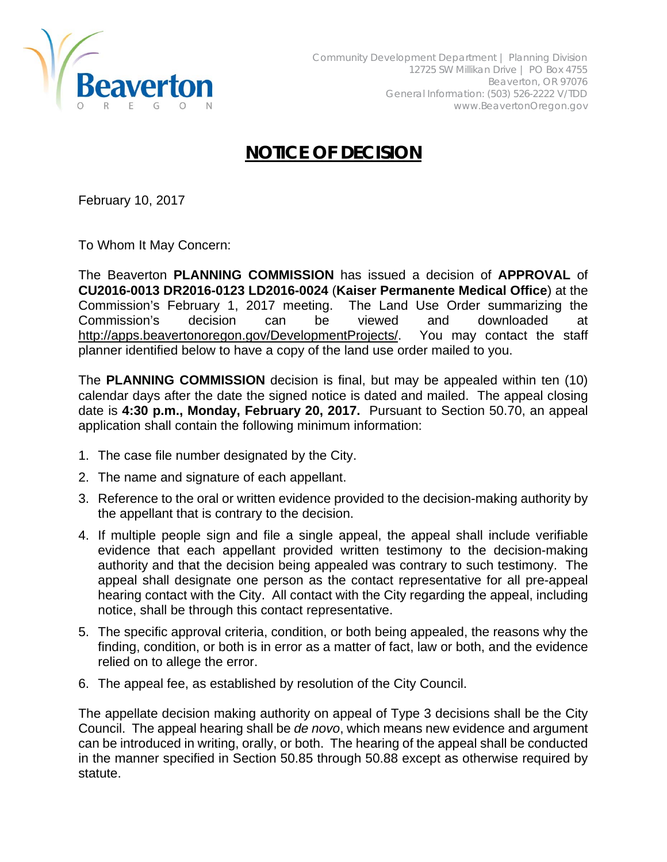

## **NOTICE OF DECISION**

February 10, 2017

To Whom It May Concern:

The Beaverton **PLANNING COMMISSION** has issued a decision of **APPROVAL** of **CU2016-0013 DR2016-0123 LD2016-0024** (**Kaiser Permanente Medical Office**) at the Commission's February 1, 2017 meeting. The Land Use Order summarizing the Commission's decision can be viewed and downloaded at http://apps.beavertonoregon.gov/DevelopmentProjects/. You may contact the staff planner identified below to have a copy of the land use order mailed to you.

The **PLANNING COMMISSION** decision is final, but may be appealed within ten (10) calendar days after the date the signed notice is dated and mailed. The appeal closing date is **4:30 p.m., Monday, February 20, 2017.** Pursuant to Section 50.70, an appeal application shall contain the following minimum information:

- 1. The case file number designated by the City.
- 2. The name and signature of each appellant.
- 3. Reference to the oral or written evidence provided to the decision-making authority by the appellant that is contrary to the decision.
- 4. If multiple people sign and file a single appeal, the appeal shall include verifiable evidence that each appellant provided written testimony to the decision-making authority and that the decision being appealed was contrary to such testimony. The appeal shall designate one person as the contact representative for all pre-appeal hearing contact with the City. All contact with the City regarding the appeal, including notice, shall be through this contact representative.
- 5. The specific approval criteria, condition, or both being appealed, the reasons why the finding, condition, or both is in error as a matter of fact, law or both, and the evidence relied on to allege the error.
- 6. The appeal fee, as established by resolution of the City Council.

The appellate decision making authority on appeal of Type 3 decisions shall be the City Council. The appeal hearing shall be *de novo*, which means new evidence and argument can be introduced in writing, orally, or both. The hearing of the appeal shall be conducted in the manner specified in Section 50.85 through 50.88 except as otherwise required by statute.